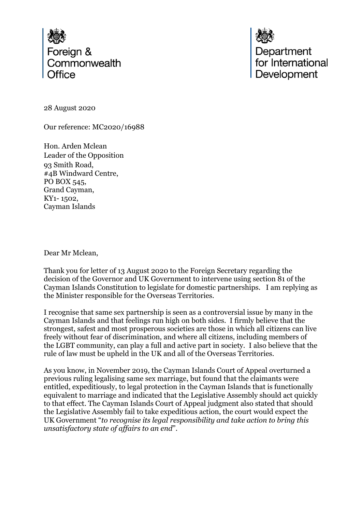

Department<br>for International Development

28 August 2020

Our reference: MC2020/16988

Hon. Arden Mclean Leader of the Opposition 93 Smith Road, #4B Windward Centre, PO BOX 545, Grand Cayman, KY1- 1502, Cayman Islands

Dear Mr Mclean,

Thank you for letter of 13 August 2020 to the Foreign Secretary regarding the decision of the Governor and UK Government to intervene using section 81 of the Cayman Islands Constitution to legislate for domestic partnerships. I am replying as the Minister responsible for the Overseas Territories.

I recognise that same sex partnership is seen as a controversial issue by many in the Cayman Islands and that feelings run high on both sides. I firmly believe that the strongest, safest and most prosperous societies are those in which all citizens can live freely without fear of discrimination, and where all citizens, including members of the LGBT community, can play a full and active part in society. I also believe that the rule of law must be upheld in the UK and all of the Overseas Territories.

As you know, in November 2019, the Cayman Islands Court of Appeal overturned a previous ruling legalising same sex marriage, but found that the claimants were entitled, expeditiously, to legal protection in the Cayman Islands that is functionally equivalent to marriage and indicated that the Legislative Assembly should act quickly to that effect. The Cayman Islands Court of Appeal judgment also stated that should the Legislative Assembly fail to take expeditious action, the court would expect the UK Government "*to recognise its legal responsibility and take action to bring this unsatisfactory state of affairs to an end*".